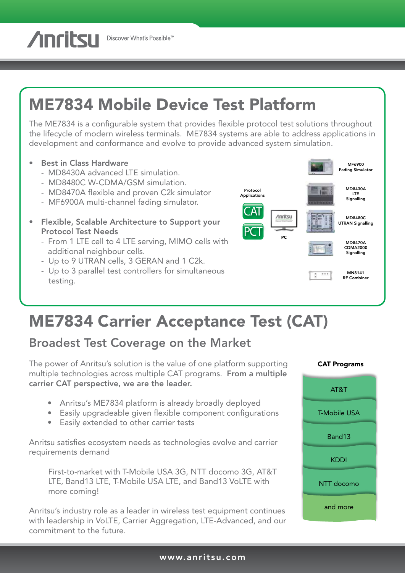**Anritsu** Discover What's Possible™

# ME7834 Mobile Device Test Platform

The ME7834 is a configurable system that provides flexible protocol test solutions throughout the lifecycle of modern wireless terminals. ME7834 systems are able to address applications in development and conformance and evolve to provide advanced system simulation.

- Best in Class Hardware
	- MD8430A advanced LTE simulation.
	- MD8480C W-CDMA/GSM simulation.
	- MD8470A flexible and proven C2k simulator
	- MF6900A multi-channel fading simulator.
- Flexible, Scalable Architecture to Support your Protocol Test Needs
	- From 1 LTE cell to 4 LTE serving, MIMO cells with additional neighbour cells.
	- Up to 9 UTRAN cells, 3 GERAN and 1 C2k.
	- Up to 3 parallel test controllers for simultaneous testing.



# ME7834 Carrier Acceptance Test (CAT)

## Broadest Test Coverage on the Market

The power of Anritsu's solution is the value of one platform supporting multiple technologies across multiple CAT programs. From a multiple carrier CAT perspective, we are the leader.

- Anritsu's ME7834 platform is already broadly deployed
- Easily upgradeable given flexible component configurations
- Easily extended to other carrier tests

Anritsu satisfies ecosystem needs as technologies evolve and carrier requirements demand

First-to-market with T-Mobile USA 3G, NTT docomo 3G, AT&T LTE, Band13 LTE, T-Mobile USA LTE, and Band13 VoLTE with more coming!

Anritsu's industry role as a leader in wireless test equipment continues with leadership in VoLTE, Carrier Aggregation, LTE-Advanced, and our commitment to the future.